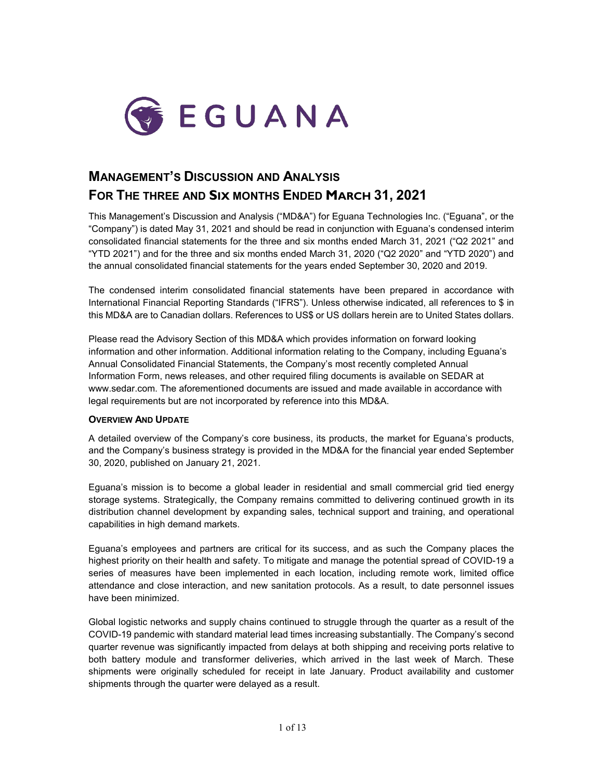

# **MANAGEMENT'S DISCUSSION AND ANALYSIS FOR THE THREE AND SIX MONTHS ENDED MARCH 31, 2021**

This Management's Discussion and Analysis ("MD&A") for Eguana Technologies Inc. ("Eguana", or the "Company") is dated May 31, 2021 and should be read in conjunction with Eguana's condensed interim consolidated financial statements for the three and six months ended March 31, 2021 ("Q2 2021" and "YTD 2021") and for the three and six months ended March 31, 2020 ("Q2 2020" and "YTD 2020") and the annual consolidated financial statements for the years ended September 30, 2020 and 2019.

The condensed interim consolidated financial statements have been prepared in accordance with International Financial Reporting Standards ("IFRS"). Unless otherwise indicated, all references to \$ in this MD&A are to Canadian dollars. References to US\$ or US dollars herein are to United States dollars.

Please read the Advisory Section of this MD&A which provides information on forward looking information and other information. Additional information relating to the Company, including Eguana's Annual Consolidated Financial Statements, the Company's most recently completed Annual Information Form, news releases, and other required filing documents is available on SEDAR at [www.sedar.com.](http://www.sedar.com/) The aforementioned documents are issued and made available in accordance with legal requirements but are not incorporated by reference into this MD&A.

# **OVERVIEW AND UPDATE**

A detailed overview of the Company's core business, its products, the market for Eguana's products, and the Company's business strategy is provided in the MD&A for the financial year ended September 30, 2020, published on January 21, 2021.

Eguana's mission is to become a global leader in residential and small commercial grid tied energy storage systems. Strategically, the Company remains committed to delivering continued growth in its distribution channel development by expanding sales, technical support and training, and operational capabilities in high demand markets.

Eguana's employees and partners are critical for its success, and as such the Company places the highest priority on their health and safety. To mitigate and manage the potential spread of COVID-19 a series of measures have been implemented in each location, including remote work, limited office attendance and close interaction, and new sanitation protocols. As a result, to date personnel issues have been minimized.

Global logistic networks and supply chains continued to struggle through the quarter as a result of the COVID-19 pandemic with standard material lead times increasing substantially. The Company's second quarter revenue was significantly impacted from delays at both shipping and receiving ports relative to both battery module and transformer deliveries, which arrived in the last week of March. These shipments were originally scheduled for receipt in late January. Product availability and customer shipments through the quarter were delayed as a result.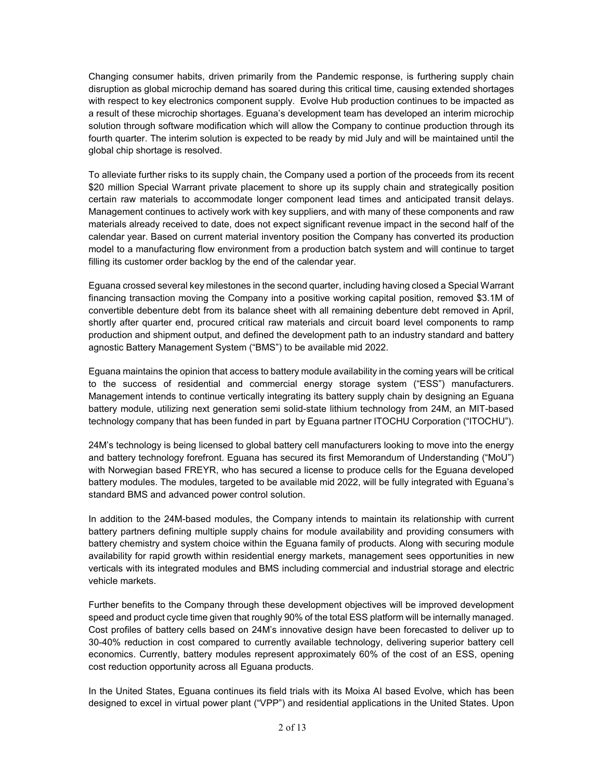Changing consumer habits, driven primarily from the Pandemic response, is furthering supply chain disruption as global microchip demand has soared during this critical time, causing extended shortages with respect to key electronics component supply. Evolve Hub production continues to be impacted as a result of these microchip shortages. Eguana's development team has developed an interim microchip solution through software modification which will allow the Company to continue production through its fourth quarter. The interim solution is expected to be ready by mid July and will be maintained until the global chip shortage is resolved.

To alleviate further risks to its supply chain, the Company used a portion of the proceeds from its recent \$20 million Special Warrant private placement to shore up its supply chain and strategically position certain raw materials to accommodate longer component lead times and anticipated transit delays. Management continues to actively work with key suppliers, and with many of these components and raw materials already received to date, does not expect significant revenue impact in the second half of the calendar year. Based on current material inventory position the Company has converted its production model to a manufacturing flow environment from a production batch system and will continue to target filling its customer order backlog by the end of the calendar year.

Eguana crossed several key milestones in the second quarter, including having closed a Special Warrant financing transaction moving the Company into a positive working capital position, removed \$3.1M of convertible debenture debt from its balance sheet with all remaining debenture debt removed in April, shortly after quarter end, procured critical raw materials and circuit board level components to ramp production and shipment output, and defined the development path to an industry standard and battery agnostic Battery Management System ("BMS") to be available mid 2022.

Eguana maintains the opinion that access to battery module availability in the coming years will be critical to the success of residential and commercial energy storage system ("ESS") manufacturers. Management intends to continue vertically integrating its battery supply chain by designing an Eguana battery module, utilizing next generation semi solid-state lithium technology from 24M, an MIT-based technology company that has been funded in part by Eguana partner ITOCHU Corporation ("ITOCHU").

24M's technology is being licensed to global battery cell manufacturers looking to move into the energy and battery technology forefront. Eguana has secured its first Memorandum of Understanding ("MoU") with Norwegian based FREYR, who has secured a license to produce cells for the Eguana developed battery modules. The modules, targeted to be available mid 2022, will be fully integrated with Eguana's standard BMS and advanced power control solution.

In addition to the 24M-based modules, the Company intends to maintain its relationship with current battery partners defining multiple supply chains for module availability and providing consumers with battery chemistry and system choice within the Eguana family of products. Along with securing module availability for rapid growth within residential energy markets, management sees opportunities in new verticals with its integrated modules and BMS including commercial and industrial storage and electric vehicle markets.

Further benefits to the Company through these development objectives will be improved development speed and product cycle time given that roughly 90% of the total ESS platform will be internally managed. Cost profiles of battery cells based on 24M's innovative design have been forecasted to deliver up to 30-40% reduction in cost compared to currently available technology, delivering superior battery cell economics. Currently, battery modules represent approximately 60% of the cost of an ESS, opening cost reduction opportunity across all Eguana products.

In the United States, Eguana continues its field trials with its Moixa AI based Evolve, which has been designed to excel in virtual power plant ("VPP") and residential applications in the United States. Upon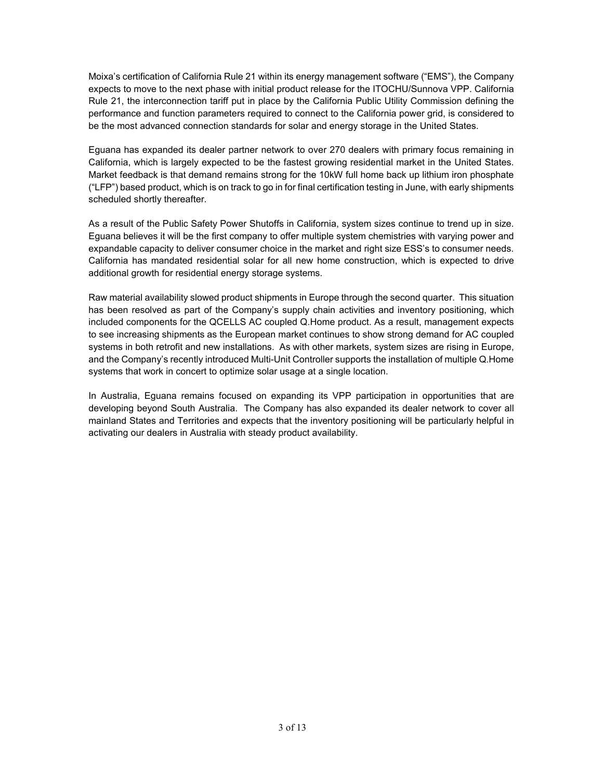Moixa's certification of California Rule 21 within its energy management software ("EMS"), the Company expects to move to the next phase with initial product release for the ITOCHU/Sunnova VPP. California Rule 21, the interconnection tariff put in place by the California Public Utility Commission defining the performance and function parameters required to connect to the California power grid, is considered to be the most advanced connection standards for solar and energy storage in the United States.

Eguana has expanded its dealer partner network to over 270 dealers with primary focus remaining in California, which is largely expected to be the fastest growing residential market in the United States. Market feedback is that demand remains strong for the 10kW full home back up lithium iron phosphate ("LFP") based product, which is on track to go in for final certification testing in June, with early shipments scheduled shortly thereafter.

As a result of the Public Safety Power Shutoffs in California, system sizes continue to trend up in size. Eguana believes it will be the first company to offer multiple system chemistries with varying power and expandable capacity to deliver consumer choice in the market and right size ESS's to consumer needs. California has mandated residential solar for all new home construction, which is expected to drive additional growth for residential energy storage systems.

Raw material availability slowed product shipments in Europe through the second quarter. This situation has been resolved as part of the Company's supply chain activities and inventory positioning, which included components for the QCELLS AC coupled Q.Home product. As a result, management expects to see increasing shipments as the European market continues to show strong demand for AC coupled systems in both retrofit and new installations. As with other markets, system sizes are rising in Europe, and the Company's recently introduced Multi-Unit Controller supports the installation of multiple Q.Home systems that work in concert to optimize solar usage at a single location.

In Australia, Eguana remains focused on expanding its VPP participation in opportunities that are developing beyond South Australia. The Company has also expanded its dealer network to cover all mainland States and Territories and expects that the inventory positioning will be particularly helpful in activating our dealers in Australia with steady product availability.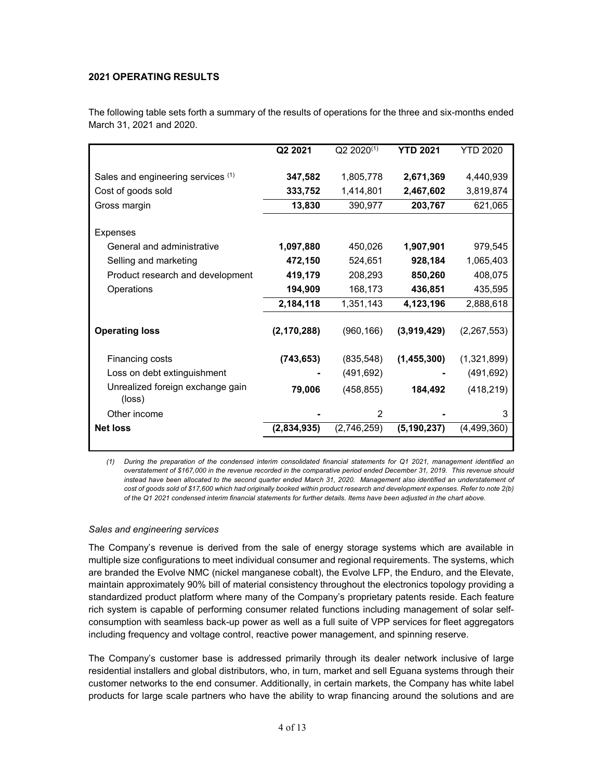# **2021 OPERATING RESULTS**

The following table sets forth a summary of the results of operations for the three and six-months ended March 31, 2021 and 2020.

|                                            | Q2 2021       | $Q2 2020^{(1)}$ | <b>YTD 2021</b> | <b>YTD 2020</b> |
|--------------------------------------------|---------------|-----------------|-----------------|-----------------|
| Sales and engineering services (1)         | 347,582       | 1,805,778       | 2,671,369       | 4,440,939       |
| Cost of goods sold                         | 333,752       | 1,414,801       | 2,467,602       | 3,819,874       |
|                                            | 13,830        | 390,977         | 203,767         | 621,065         |
| Gross margin                               |               |                 |                 |                 |
| Expenses                                   |               |                 |                 |                 |
| General and administrative                 | 1,097,880     | 450,026         | 1,907,901       | 979,545         |
| Selling and marketing                      | 472,150       | 524,651         | 928,184         | 1,065,403       |
| Product research and development           | 419,179       | 208,293         | 850,260         | 408,075         |
| Operations                                 | 194,909       | 168,173         | 436,851         | 435,595         |
|                                            | 2,184,118     | 1,351,143       | 4,123,196       | 2,888,618       |
|                                            |               |                 |                 |                 |
| <b>Operating loss</b>                      | (2, 170, 288) | (960, 166)      | (3,919,429)     | (2, 267, 553)   |
| Financing costs                            | (743, 653)    | (835, 548)      | (1,455,300)     | (1,321,899)     |
| Loss on debt extinguishment                |               | (491, 692)      |                 | (491, 692)      |
| Unrealized foreign exchange gain<br>(loss) | 79,006        | (458, 855)      | 184,492         | (418, 219)      |
| Other income                               |               | 2               |                 | 3               |
| <b>Net loss</b>                            | (2,834,935)   | (2,746,259)     | (5, 190, 237)   | (4, 499, 360)   |
|                                            |               |                 |                 |                 |

*(1) During the preparation of the condensed interim consolidated financial statements for Q1 2021, management identified an overstatement of \$167,000 in the revenue recorded in the comparative period ended December 31, 2019. This revenue should instead have been allocated to the second quarter ended March 31, 2020. Management also identified an understatement of cost of goods sold of \$17,600 which had originally booked within product research and development expenses. Refer to note 2(b) of the Q1 2021 condensed interim financial statements for further details. Items have been adjusted in the chart above.* 

# *Sales and engineering services*

The Company's revenue is derived from the sale of energy storage systems which are available in multiple size configurations to meet individual consumer and regional requirements. The systems, which are branded the Evolve NMC (nickel manganese cobalt), the Evolve LFP, the Enduro, and the Elevate, maintain approximately 90% bill of material consistency throughout the electronics topology providing a standardized product platform where many of the Company's proprietary patents reside. Each feature rich system is capable of performing consumer related functions including management of solar selfconsumption with seamless back-up power as well as a full suite of VPP services for fleet aggregators including frequency and voltage control, reactive power management, and spinning reserve.

The Company's customer base is addressed primarily through its dealer network inclusive of large residential installers and global distributors, who, in turn, market and sell Eguana systems through their customer networks to the end consumer. Additionally, in certain markets, the Company has white label products for large scale partners who have the ability to wrap financing around the solutions and are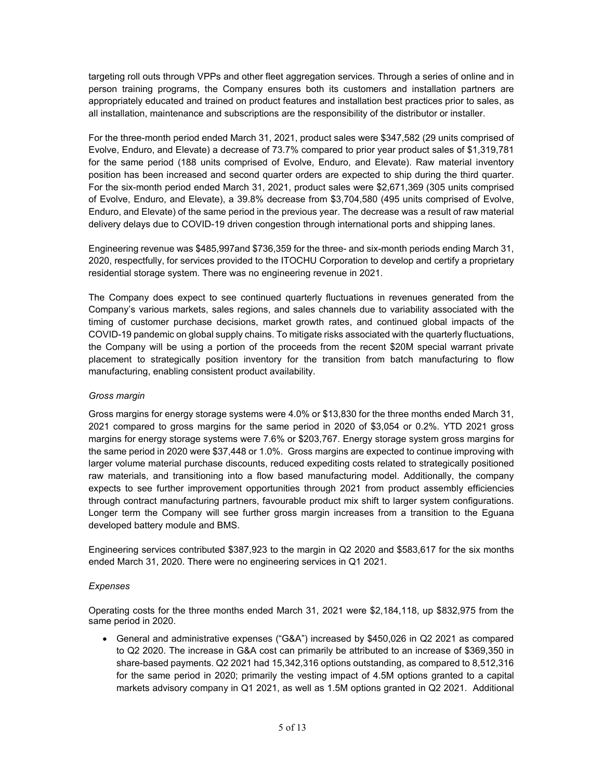targeting roll outs through VPPs and other fleet aggregation services. Through a series of online and in person training programs, the Company ensures both its customers and installation partners are appropriately educated and trained on product features and installation best practices prior to sales, as all installation, maintenance and subscriptions are the responsibility of the distributor or installer.

For the three-month period ended March 31, 2021, product sales were \$347,582 (29 units comprised of Evolve, Enduro, and Elevate) a decrease of 73.7% compared to prior year product sales of \$1,319,781 for the same period (188 units comprised of Evolve, Enduro, and Elevate). Raw material inventory position has been increased and second quarter orders are expected to ship during the third quarter. For the six-month period ended March 31, 2021, product sales were \$2,671,369 (305 units comprised of Evolve, Enduro, and Elevate), a 39.8% decrease from \$3,704,580 (495 units comprised of Evolve, Enduro, and Elevate) of the same period in the previous year. The decrease was a result of raw material delivery delays due to COVID-19 driven congestion through international ports and shipping lanes.

Engineering revenue was \$485,997and \$736,359 for the three- and six-month periods ending March 31, 2020, respectfully, for services provided to the ITOCHU Corporation to develop and certify a proprietary residential storage system. There was no engineering revenue in 2021.

The Company does expect to see continued quarterly fluctuations in revenues generated from the Company's various markets, sales regions, and sales channels due to variability associated with the timing of customer purchase decisions, market growth rates, and continued global impacts of the COVID-19 pandemic on global supply chains. To mitigate risks associated with the quarterly fluctuations, the Company will be using a portion of the proceeds from the recent \$20M special warrant private placement to strategically position inventory for the transition from batch manufacturing to flow manufacturing, enabling consistent product availability.

# *Gross margin*

Gross margins for energy storage systems were 4.0% or \$13,830 for the three months ended March 31, 2021 compared to gross margins for the same period in 2020 of \$3,054 or 0.2%. YTD 2021 gross margins for energy storage systems were 7.6% or \$203,767. Energy storage system gross margins for the same period in 2020 were \$37,448 or 1.0%. Gross margins are expected to continue improving with larger volume material purchase discounts, reduced expediting costs related to strategically positioned raw materials, and transitioning into a flow based manufacturing model. Additionally, the company expects to see further improvement opportunities through 2021 from product assembly efficiencies through contract manufacturing partners, favourable product mix shift to larger system configurations. Longer term the Company will see further gross margin increases from a transition to the Eguana developed battery module and BMS.

Engineering services contributed \$387,923 to the margin in Q2 2020 and \$583,617 for the six months ended March 31, 2020. There were no engineering services in Q1 2021.

# *Expenses*

Operating costs for the three months ended March 31, 2021 were \$2,184,118, up \$832,975 from the same period in 2020.

• General and administrative expenses ("G&A") increased by \$450,026 in Q2 2021 as compared to Q2 2020. The increase in G&A cost can primarily be attributed to an increase of \$369,350 in share-based payments. Q2 2021 had 15,342,316 options outstanding, as compared to 8,512,316 for the same period in 2020; primarily the vesting impact of 4.5M options granted to a capital markets advisory company in Q1 2021, as well as 1.5M options granted in Q2 2021. Additional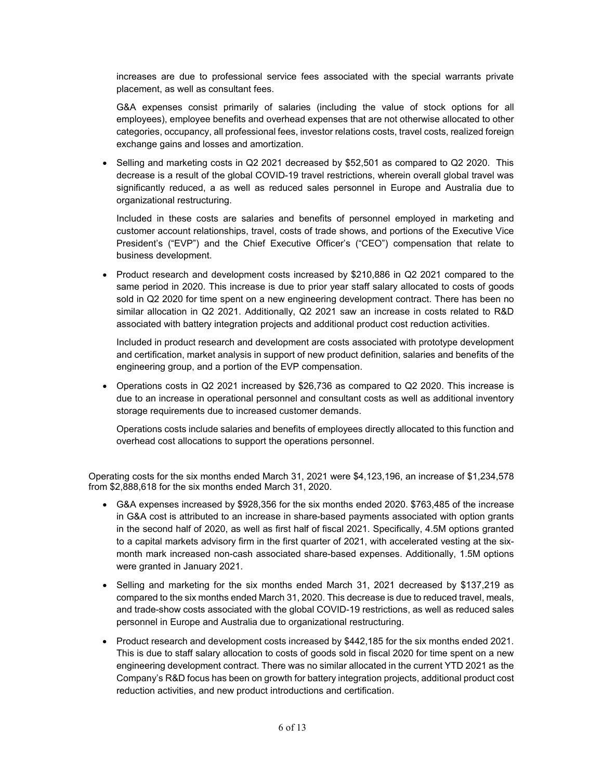increases are due to professional service fees associated with the special warrants private placement, as well as consultant fees.

G&A expenses consist primarily of salaries (including the value of stock options for all employees), employee benefits and overhead expenses that are not otherwise allocated to other categories, occupancy, all professional fees, investor relations costs, travel costs, realized foreign exchange gains and losses and amortization.

• Selling and marketing costs in Q2 2021 decreased by \$52,501 as compared to Q2 2020. This decrease is a result of the global COVID-19 travel restrictions, wherein overall global travel was significantly reduced, a as well as reduced sales personnel in Europe and Australia due to organizational restructuring.

Included in these costs are salaries and benefits of personnel employed in marketing and customer account relationships, travel, costs of trade shows, and portions of the Executive Vice President's ("EVP") and the Chief Executive Officer's ("CEO") compensation that relate to business development.

• Product research and development costs increased by \$210,886 in Q2 2021 compared to the same period in 2020. This increase is due to prior year staff salary allocated to costs of goods sold in Q2 2020 for time spent on a new engineering development contract. There has been no similar allocation in Q2 2021. Additionally, Q2 2021 saw an increase in costs related to R&D associated with battery integration projects and additional product cost reduction activities.

Included in product research and development are costs associated with prototype development and certification, market analysis in support of new product definition, salaries and benefits of the engineering group, and a portion of the EVP compensation.

• Operations costs in Q2 2021 increased by \$26,736 as compared to Q2 2020. This increase is due to an increase in operational personnel and consultant costs as well as additional inventory storage requirements due to increased customer demands.

Operations costs include salaries and benefits of employees directly allocated to this function and overhead cost allocations to support the operations personnel.

Operating costs for the six months ended March 31, 2021 were \$4,123,196, an increase of \$1,234,578 from \$2,888,618 for the six months ended March 31, 2020.

- G&A expenses increased by \$928,356 for the six months ended 2020. \$763,485 of the increase in G&A cost is attributed to an increase in share-based payments associated with option grants in the second half of 2020, as well as first half of fiscal 2021. Specifically, 4.5M options granted to a capital markets advisory firm in the first quarter of 2021, with accelerated vesting at the sixmonth mark increased non-cash associated share-based expenses. Additionally, 1.5M options were granted in January 2021.
- Selling and marketing for the six months ended March 31, 2021 decreased by \$137,219 as compared to the six months ended March 31, 2020. This decrease is due to reduced travel, meals, and trade-show costs associated with the global COVID-19 restrictions, as well as reduced sales personnel in Europe and Australia due to organizational restructuring.
- Product research and development costs increased by \$442,185 for the six months ended 2021. This is due to staff salary allocation to costs of goods sold in fiscal 2020 for time spent on a new engineering development contract. There was no similar allocated in the current YTD 2021 as the Company's R&D focus has been on growth for battery integration projects, additional product cost reduction activities, and new product introductions and certification.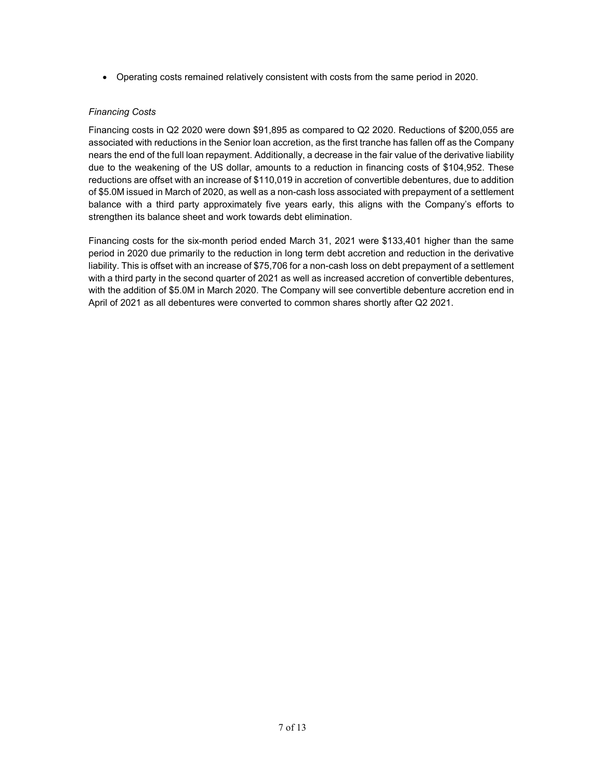• Operating costs remained relatively consistent with costs from the same period in 2020.

# *Financing Costs*

Financing costs in Q2 2020 were down \$91,895 as compared to Q2 2020. Reductions of \$200,055 are associated with reductions in the Senior loan accretion, as the first tranche has fallen off as the Company nears the end of the full loan repayment. Additionally, a decrease in the fair value of the derivative liability due to the weakening of the US dollar, amounts to a reduction in financing costs of \$104,952. These reductions are offset with an increase of \$110,019 in accretion of convertible debentures, due to addition of \$5.0M issued in March of 2020, as well as a non-cash loss associated with prepayment of a settlement balance with a third party approximately five years early, this aligns with the Company's efforts to strengthen its balance sheet and work towards debt elimination.

Financing costs for the six-month period ended March 31, 2021 were \$133,401 higher than the same period in 2020 due primarily to the reduction in long term debt accretion and reduction in the derivative liability. This is offset with an increase of \$75,706 for a non-cash loss on debt prepayment of a settlement with a third party in the second quarter of 2021 as well as increased accretion of convertible debentures, with the addition of \$5.0M in March 2020. The Company will see convertible debenture accretion end in April of 2021 as all debentures were converted to common shares shortly after Q2 2021.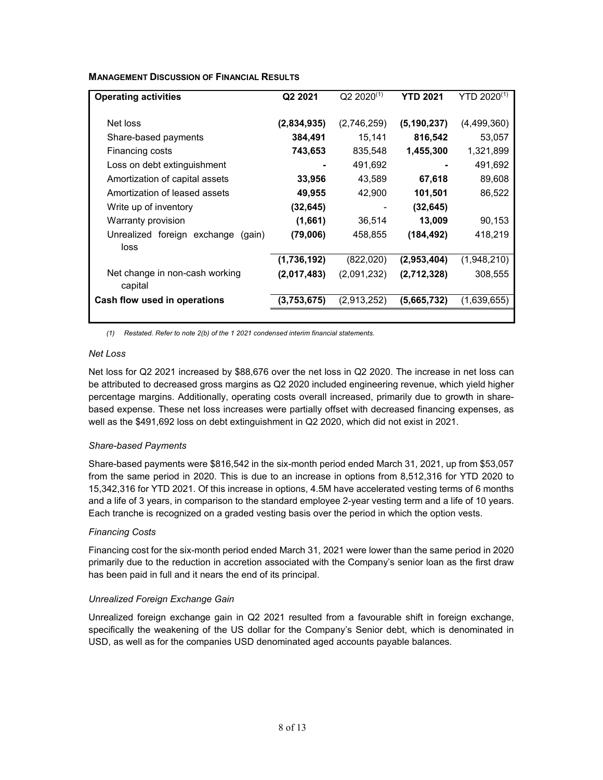| <b>MANAGEMENT DISCUSSION OF FINANCIAL RESULTS</b> |  |
|---------------------------------------------------|--|
|---------------------------------------------------|--|

| <b>Operating activities</b>                   | Q2 2021     | $Q2 2020^{(1)}$ | <b>YTD 2021</b> | YTD $2020^{(1)}$ |  |
|-----------------------------------------------|-------------|-----------------|-----------------|------------------|--|
| Net loss                                      | (2,834,935) | (2,746,259)     | (5, 190, 237)   | (4,499,360)      |  |
| Share-based payments                          | 384,491     | 15,141          | 816,542         | 53,057           |  |
| Financing costs                               | 743,653     | 835,548         | 1,455,300       | 1,321,899        |  |
| Loss on debt extinguishment                   |             | 491,692         |                 | 491,692          |  |
| Amortization of capital assets                | 33,956      | 43,589          | 67,618          | 89,608           |  |
| Amortization of leased assets                 | 49,955      | 42,900          | 101,501         | 86,522           |  |
| Write up of inventory                         | (32,645)    |                 | (32, 645)       |                  |  |
| Warranty provision                            | (1,661)     | 36,514          | 13,009          | 90,153           |  |
| Unrealized foreign exchange<br>(gain)<br>loss | (79,006)    | 458,855         | (184, 492)      | 418,219          |  |
|                                               | (1,736,192) | (822,020)       | (2,953,404)     | (1,948,210)      |  |
| Net change in non-cash working<br>capital     | (2,017,483) | (2,091,232)     | (2,712,328)     | 308,555          |  |
| Cash flow used in operations                  | (3,753,675) | (2,913,252)     | (5,665,732)     | (1,639,655)      |  |
|                                               |             |                 |                 |                  |  |

*(1) Restated. Refer to note 2(b) of the 1 2021 condensed interim financial statements.* 

# *Net Loss*

Net loss for Q2 2021 increased by \$88,676 over the net loss in Q2 2020. The increase in net loss can be attributed to decreased gross margins as Q2 2020 included engineering revenue, which yield higher percentage margins. Additionally, operating costs overall increased, primarily due to growth in sharebased expense. These net loss increases were partially offset with decreased financing expenses, as well as the \$491,692 loss on debt extinguishment in Q2 2020, which did not exist in 2021.

# *Share-based Payments*

Share-based payments were \$816,542 in the six-month period ended March 31, 2021, up from \$53,057 from the same period in 2020. This is due to an increase in options from 8,512,316 for YTD 2020 to 15,342,316 for YTD 2021. Of this increase in options, 4.5M have accelerated vesting terms of 6 months and a life of 3 years, in comparison to the standard employee 2-year vesting term and a life of 10 years. Each tranche is recognized on a graded vesting basis over the period in which the option vests.

# *Financing Costs*

Financing cost for the six-month period ended March 31, 2021 were lower than the same period in 2020 primarily due to the reduction in accretion associated with the Company's senior loan as the first draw has been paid in full and it nears the end of its principal.

# *Unrealized Foreign Exchange Gain*

Unrealized foreign exchange gain in Q2 2021 resulted from a favourable shift in foreign exchange, specifically the weakening of the US dollar for the Company's Senior debt, which is denominated in USD, as well as for the companies USD denominated aged accounts payable balances.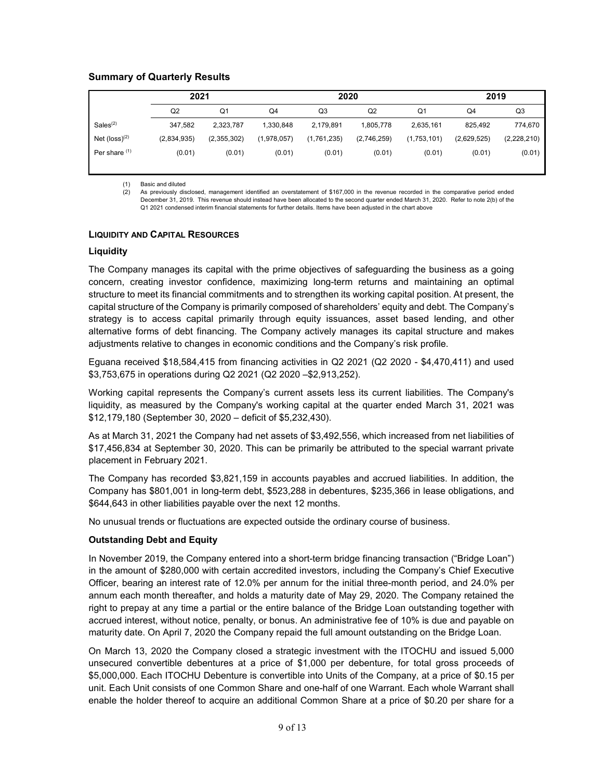# **Summary of Quarterly Results**

|                             | 2021           |                |             | 2020        |             |                | 2019           |             |
|-----------------------------|----------------|----------------|-------------|-------------|-------------|----------------|----------------|-------------|
|                             | Q <sub>2</sub> | Q <sub>1</sub> | Q4          | Q3          | Q2          | Q <sub>1</sub> | Q <sub>4</sub> | Q3          |
| Sales <sup>(2)</sup>        | 347,582        | 2,323,787      | 1,330,848   | 2,179,891   | 1,805,778   | 2,635,161      | 825.492        | 774,670     |
| Net $(logs)$ <sup>(2)</sup> | (2,834,935)    | (2,355,302)    | (1,978,057) | (1,761,235) | (2,746,259) | (1,753,101)    | (2,629,525)    | (2,228,210) |
| Per share (1)               | (0.01)         | (0.01)         | (0.01)      | (0.01)      | (0.01)      | (0.01)         | (0.01)         | (0.01)      |
|                             |                |                |             |             |             |                |                |             |

(1) Basic and diluted

(2) As previously disclosed, management identified an overstatement of \$167,000 in the revenue recorded in the comparative period ended December 31, 2019. This revenue should instead have been allocated to the second quarter ended March 31, 2020. Refer to note 2(b) of the Q1 2021 condensed interim financial statements for further details. Items have been adjusted in the chart above

#### **LIQUIDITY AND CAPITAL RESOURCES**

#### **Liquidity**

The Company manages its capital with the prime objectives of safeguarding the business as a going concern, creating investor confidence, maximizing long-term returns and maintaining an optimal structure to meet its financial commitments and to strengthen its working capital position. At present, the capital structure of the Company is primarily composed of shareholders' equity and debt. The Company's strategy is to access capital primarily through equity issuances, asset based lending, and other alternative forms of debt financing. The Company actively manages its capital structure and makes adjustments relative to changes in economic conditions and the Company's risk profile.

Eguana received \$18,584,415 from financing activities in Q2 2021 (Q2 2020 - \$4,470,411) and used \$3,753,675 in operations during Q2 2021 (Q2 2020 –\$2,913,252).

Working capital represents the Company's current assets less its current liabilities. The Company's liquidity, as measured by the Company's working capital at the quarter ended March 31, 2021 was \$12,179,180 (September 30, 2020 – deficit of \$5,232,430).

As at March 31, 2021 the Company had net assets of \$3,492,556, which increased from net liabilities of \$17,456,834 at September 30, 2020. This can be primarily be attributed to the special warrant private placement in February 2021.

The Company has recorded \$3,821,159 in accounts payables and accrued liabilities. In addition, the Company has \$801,001 in long-term debt, \$523,288 in debentures, \$235,366 in lease obligations, and \$644,643 in other liabilities payable over the next 12 months.

No unusual trends or fluctuations are expected outside the ordinary course of business.

# **Outstanding Debt and Equity**

In November 2019, the Company entered into a short-term bridge financing transaction ("Bridge Loan") in the amount of \$280,000 with certain accredited investors, including the Company's Chief Executive Officer, bearing an interest rate of 12.0% per annum for the initial three-month period, and 24.0% per annum each month thereafter, and holds a maturity date of May 29, 2020. The Company retained the right to prepay at any time a partial or the entire balance of the Bridge Loan outstanding together with accrued interest, without notice, penalty, or bonus. An administrative fee of 10% is due and payable on maturity date. On April 7, 2020 the Company repaid the full amount outstanding on the Bridge Loan.

On March 13, 2020 the Company closed a strategic investment with the ITOCHU and issued 5,000 unsecured convertible debentures at a price of \$1,000 per debenture, for total gross proceeds of \$5,000,000. Each ITOCHU Debenture is convertible into Units of the Company, at a price of \$0.15 per unit. Each Unit consists of one Common Share and one-half of one Warrant. Each whole Warrant shall enable the holder thereof to acquire an additional Common Share at a price of \$0.20 per share for a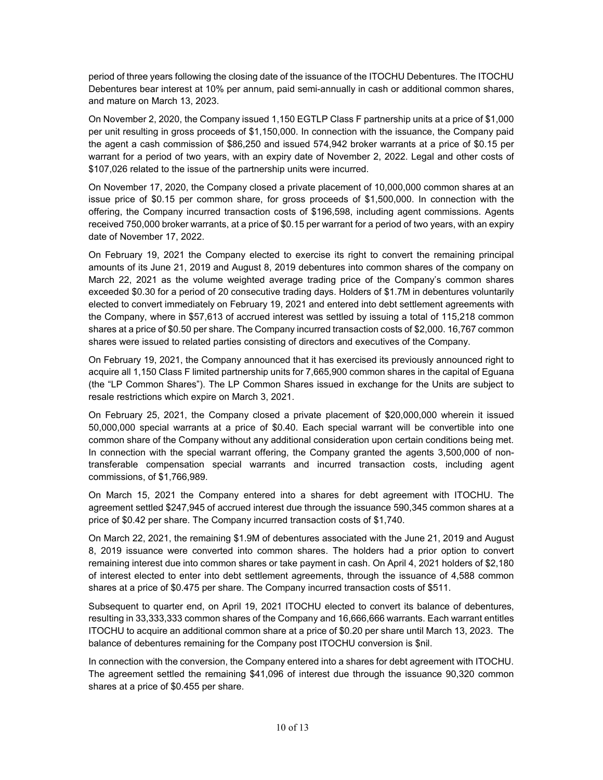period of three years following the closing date of the issuance of the ITOCHU Debentures. The ITOCHU Debentures bear interest at 10% per annum, paid semi-annually in cash or additional common shares, and mature on March 13, 2023.

On November 2, 2020, the Company issued 1,150 EGTLP Class F partnership units at a price of \$1,000 per unit resulting in gross proceeds of \$1,150,000. In connection with the issuance, the Company paid the agent a cash commission of \$86,250 and issued 574,942 broker warrants at a price of \$0.15 per warrant for a period of two years, with an expiry date of November 2, 2022. Legal and other costs of \$107,026 related to the issue of the partnership units were incurred.

On November 17, 2020, the Company closed a private placement of 10,000,000 common shares at an issue price of \$0.15 per common share, for gross proceeds of \$1,500,000. In connection with the offering, the Company incurred transaction costs of \$196,598, including agent commissions. Agents received 750,000 broker warrants, at a price of \$0.15 per warrant for a period of two years, with an expiry date of November 17, 2022.

On February 19, 2021 the Company elected to exercise its right to convert the remaining principal amounts of its June 21, 2019 and August 8, 2019 debentures into common shares of the company on March 22, 2021 as the volume weighted average trading price of the Company's common shares exceeded \$0.30 for a period of 20 consecutive trading days. Holders of \$1.7M in debentures voluntarily elected to convert immediately on February 19, 2021 and entered into debt settlement agreements with the Company, where in \$57,613 of accrued interest was settled by issuing a total of 115,218 common shares at a price of \$0.50 per share. The Company incurred transaction costs of \$2,000. 16,767 common shares were issued to related parties consisting of directors and executives of the Company.

On February 19, 2021, the Company announced that it has exercised its previously announced right to acquire all 1,150 Class F limited partnership units for 7,665,900 common shares in the capital of Eguana (the "LP Common Shares"). The LP Common Shares issued in exchange for the Units are subject to resale restrictions which expire on March 3, 2021.

On February 25, 2021, the Company closed a private placement of \$20,000,000 wherein it issued 50,000,000 special warrants at a price of \$0.40. Each special warrant will be convertible into one common share of the Company without any additional consideration upon certain conditions being met. In connection with the special warrant offering, the Company granted the agents 3,500,000 of nontransferable compensation special warrants and incurred transaction costs, including agent commissions, of \$1,766,989.

On March 15, 2021 the Company entered into a shares for debt agreement with ITOCHU. The agreement settled \$247,945 of accrued interest due through the issuance 590,345 common shares at a price of \$0.42 per share. The Company incurred transaction costs of \$1,740.

On March 22, 2021, the remaining \$1.9M of debentures associated with the June 21, 2019 and August 8, 2019 issuance were converted into common shares. The holders had a prior option to convert remaining interest due into common shares or take payment in cash. On April 4, 2021 holders of \$2,180 of interest elected to enter into debt settlement agreements, through the issuance of 4,588 common shares at a price of \$0.475 per share. The Company incurred transaction costs of \$511.

Subsequent to quarter end, on April 19, 2021 ITOCHU elected to convert its balance of debentures, resulting in 33,333,333 common shares of the Company and 16,666,666 warrants. Each warrant entitles ITOCHU to acquire an additional common share at a price of \$0.20 per share until March 13, 2023. The balance of debentures remaining for the Company post ITOCHU conversion is \$nil.

In connection with the conversion, the Company entered into a shares for debt agreement with ITOCHU. The agreement settled the remaining \$41,096 of interest due through the issuance 90,320 common shares at a price of \$0.455 per share.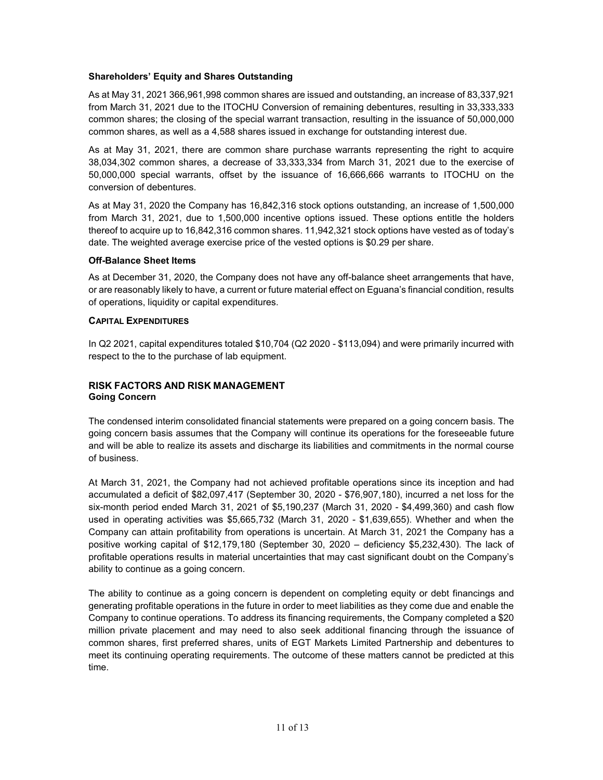# **Shareholders' Equity and Shares Outstanding**

As at May 31, 2021 366,961,998 common shares are issued and outstanding, an increase of 83,337,921 from March 31, 2021 due to the ITOCHU Conversion of remaining debentures, resulting in 33,333,333 common shares; the closing of the special warrant transaction, resulting in the issuance of 50,000,000 common shares, as well as a 4,588 shares issued in exchange for outstanding interest due.

As at May 31, 2021, there are common share purchase warrants representing the right to acquire 38,034,302 common shares, a decrease of 33,333,334 from March 31, 2021 due to the exercise of 50,000,000 special warrants, offset by the issuance of 16,666,666 warrants to ITOCHU on the conversion of debentures.

As at May 31, 2020 the Company has 16,842,316 stock options outstanding, an increase of 1,500,000 from March 31, 2021, due to 1,500,000 incentive options issued. These options entitle the holders thereof to acquire up to 16,842,316 common shares. 11,942,321 stock options have vested as of today's date. The weighted average exercise price of the vested options is \$0.29 per share.

# **Off-Balance Sheet Items**

As at December 31, 2020, the Company does not have any off-balance sheet arrangements that have, or are reasonably likely to have, a current or future material effect on Eguana's financial condition, results of operations, liquidity or capital expenditures.

# **CAPITAL EXPENDITURES**

In Q2 2021, capital expenditures totaled \$10,704 (Q2 2020 - \$113,094) and were primarily incurred with respect to the to the purchase of lab equipment.

# **RISK FACTORS AND RISK MANAGEMENT Going Concern**

The condensed interim consolidated financial statements were prepared on a going concern basis. The going concern basis assumes that the Company will continue its operations for the foreseeable future and will be able to realize its assets and discharge its liabilities and commitments in the normal course of business.

At March 31, 2021, the Company had not achieved profitable operations since its inception and had accumulated a deficit of \$82,097,417 (September 30, 2020 - \$76,907,180), incurred a net loss for the six-month period ended March 31, 2021 of \$5,190,237 (March 31, 2020 - \$4,499,360) and cash flow used in operating activities was \$5,665,732 (March 31, 2020 - \$1,639,655). Whether and when the Company can attain profitability from operations is uncertain. At March 31, 2021 the Company has a positive working capital of \$12,179,180 (September 30, 2020 – deficiency \$5,232,430). The lack of profitable operations results in material uncertainties that may cast significant doubt on the Company's ability to continue as a going concern.

The ability to continue as a going concern is dependent on completing equity or debt financings and generating profitable operations in the future in order to meet liabilities as they come due and enable the Company to continue operations. To address its financing requirements, the Company completed a \$20 million private placement and may need to also seek additional financing through the issuance of common shares, first preferred shares, units of EGT Markets Limited Partnership and debentures to meet its continuing operating requirements. The outcome of these matters cannot be predicted at this time.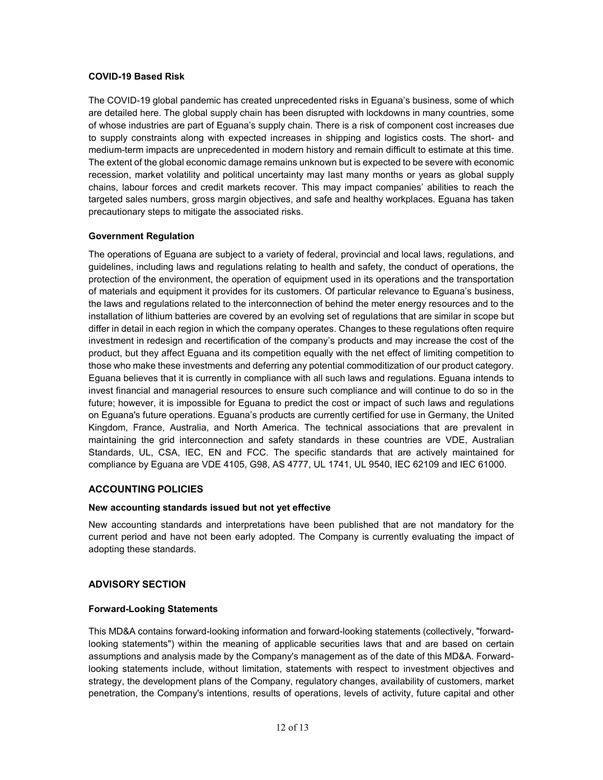# **COVID-19 Based Risk**

The COVID-19 global pandemic has created unprecedented risks in Eguana's business, some of which are detailed here. The global supply chain has been disrupted with lockdowns in many countries, some of whose industries are part of Eguana's supply chain. There is a risk of component cost increases due to supply constraints along with expected increases in shipping and logistics costs. The short- and medium-term impacts are unprecedented in modern history and remain difficult to estimate at this time. The extent of the global economic damage remains unknown but is expected to be severe with economic recession, market volatility and political uncertainty may last many months or years as global supply chains, labour forces and credit markets recover. This may impact companies' abilities to reach the targeted sales numbers, gross margin objectives, and safe and healthy workplaces. Eguana has taken precautionary steps to mitigate the associated risks.

# **Government Regulation**

The operations of Eguana are subject to a variety of federal, provincial and local laws, regulations, and guidelines, including laws and regulations relating to health and safety, the conduct of operations, the protection of the environment, the operation of equipment used in its operations and the transportation of materials and equipment it provides for its customers. Of particular relevance to Eguana's business, the laws and regulations related to the interconnection of behind the meter energy resources and to the installation of lithium batteries are covered by an evolving set of regulations that are similar in scope but differ in detail in each region in which the company operates. Changes to these regulations often require investment in redesign and recertification of the company's products and may increase the cost of the product, but they affect Eguana and its competition equally with the net effect of limiting competition to those who make these investments and deferring any potential commoditization of our product category. Eguana believes that it is currently in compliance with all such laws and regulations. Eguana intends to invest financial and managerial resources to ensure such compliance and will continue to do so in the future; however, it is impossible for Eguana to predict the cost or impact of such laws and regulations on Eguana's future operations. Eguana's products are currently certified for use in Germany, the United Kingdom, France, Australia, and North America. The technical associations that are prevalent in maintaining the grid interconnection and safety standards in these countries are VDE, Australian Standards, UL, CSA, IEC, EN and FCC. The specific standards that are actively maintained for compliance by Eguana are VDE 4105, G98, AS 4777, UL 1741, UL 9540, IEC 62109 and IEC 61000.

# **ACCOUNTING POLICIES**

# **New accounting standards issued but not yet effective**

New accounting standards and interpretations have been published that are not mandatory for the current period and have not been early adopted. The Company is currently evaluating the impact of adopting these standards.

# **ADVISORY SECTION**

# **Forward-Looking Statements**

This MD&A contains forward-looking information and forward-looking statements (collectively, "forwardlooking statements") within the meaning of applicable securities laws that and are based on certain assumptions and analysis made by the Company's management as of the date of this MD&A. Forwardlooking statements include, without limitation, statements with respect to investment objectives and strategy, the development plans of the Company, regulatory changes, availability of customers, market penetration, the Company's intentions, results of operations, levels of activity, future capital and other